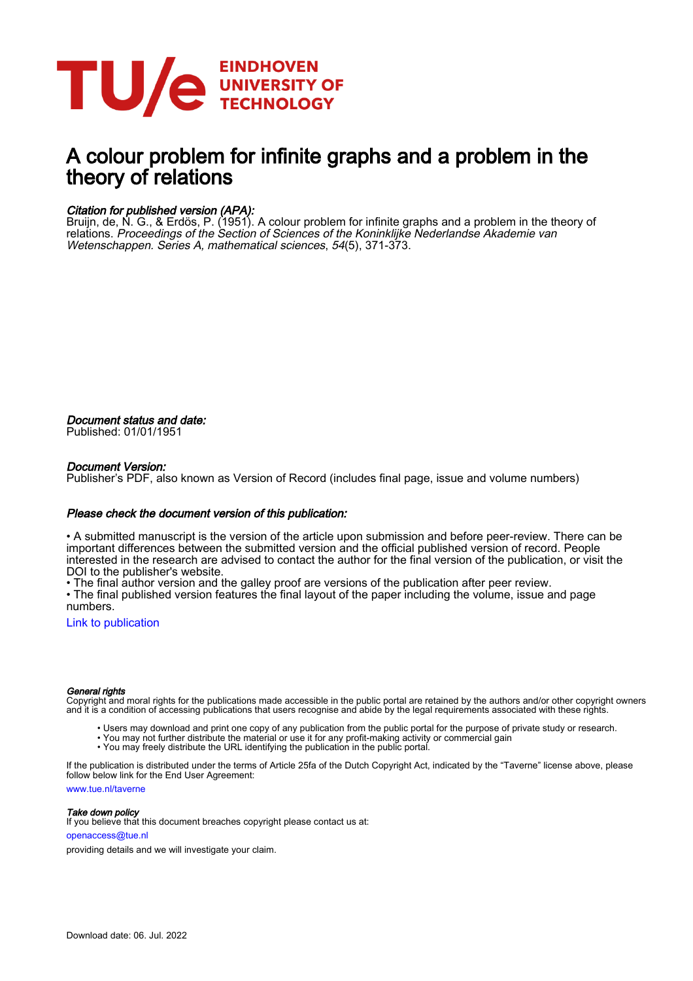

# A colour problem for infinite graphs and a problem in the theory of relations

# Citation for published version (APA):

Bruijn, de, N. G., & Erdös, P. (1951). A colour problem for infinite graphs and a problem in the theory of relations. Proceedings of the Section of Sciences of the Koninklijke Nederlandse Akademie van Wetenschappen. Series A, mathematical sciences, 54(5), 371-373.

Document status and date: Published: 01/01/1951

## Document Version:

Publisher's PDF, also known as Version of Record (includes final page, issue and volume numbers)

### Please check the document version of this publication:

• A submitted manuscript is the version of the article upon submission and before peer-review. There can be important differences between the submitted version and the official published version of record. People interested in the research are advised to contact the author for the final version of the publication, or visit the DOI to the publisher's website.

• The final author version and the galley proof are versions of the publication after peer review.

• The final published version features the final layout of the paper including the volume, issue and page numbers.

[Link to publication](https://research.tue.nl/en/publications/8bb2b225-bd1a-4924-97ee-0eefca35f01b)

#### General rights

Copyright and moral rights for the publications made accessible in the public portal are retained by the authors and/or other copyright owners and it is a condition of accessing publications that users recognise and abide by the legal requirements associated with these rights.

- Users may download and print one copy of any publication from the public portal for the purpose of private study or research.
- You may not further distribute the material or use it for any profit-making activity or commercial gain
- You may freely distribute the URL identifying the publication in the public portal.

If the publication is distributed under the terms of Article 25fa of the Dutch Copyright Act, indicated by the "Taverne" license above, please follow below link for the End User Agreement:

www.tue.nl/taverne

**Take down policy**<br>If you believe that this document breaches copyright please contact us at:

openaccess@tue.nl

providing details and we will investigate your claim.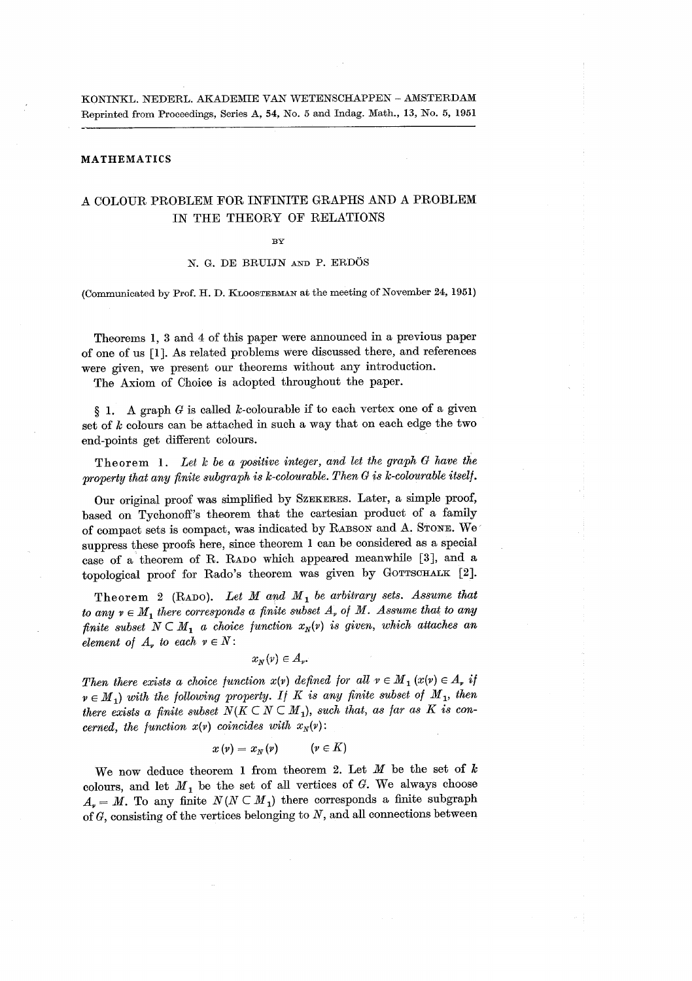KONINKL. NEDERL. AKADEMIE VAN WETENSCHAPPEN - AMSTERDAM Reprinted from Proceedings, Series A, 54, No. 5 and Indag. Math., 13, No. 5, 1951

#### **MATHEMATICS**

# A COLOUR PROBLEM FOR INFINITE GRAPHS AND A PROBLEM IN THE THEORY OF RELATIONS

#### $\mathbf{R}\mathbf{V}$

#### N. G. DE BRUIJN AND P. ERDÖS

(Communicated by Prof. H. D. KLOOSTERMAN at the meeting of November 24, 1951)

Theorems 1, 3 and 4 of this paper were announced in a previous paper of one of us [1]. As related problems were discussed there, and references were given, we present our theorems without any introduction.

The Axiom of Choice is adopted throughout the paper.

A graph  $G$  is called k-colourable if to each vertex one of a given  $\S$  1. set of  $k$  colours can be attached in such a way that on each edge the two end-points get different colours.

Theorem 1. Let  $k$  be a positive integer, and let the graph  $G$  have the property that any finite subgraph is  $k$ -colourable. Then  $G$  is  $k$ -colourable itself.

Our original proof was simplified by SZEKERES. Later, a simple proof, based on Tychonoff's theorem that the cartesian product of a family of compact sets is compact, was indicated by RABSON and A. STONE. We suppress these proofs here, since theorem 1 can be considered as a special case of a theorem of R. RADO which appeared meanwhile [3], and a topological proof for Rado's theorem was given by GOTTSCHALK [2].

Theorem 2 (RADO). Let M and  $M_1$  be arbitrary sets. Assume that to any  $v \in M$ , there corresponds a finite subset  $A_v$  of M. Assume that to any finite subset  $N \subset M_1$  a choice function  $x_N(v)$  is given, which attaches an element of  $A_r$  to each  $v \in N$ :

 $x_N(v) \in A_v$ 

Then there exists a choice function  $x(y)$  defined for all  $v \in M_1(x(y)) \in A$ , if  $v \in M_1$ ) with the following property. If K is any finite subset of  $M_1$ , then there exists a finite subset  $N(K \subset N \subset M_1)$ , such that, as far as K is concerned, the function  $x(y)$  coincides with  $x_N(y)$ :

$$
x\left(\nu\right) = x_{N}\left(\nu\right) \qquad \left(\nu \in K\right)
$$

We now deduce theorem 1 from theorem 2. Let  $M$  be the set of  $k$ colours, and let  $M_1$  be the set of all vertices of G. We always choose  $A_{\nu} = M$ . To any finite  $N(N \subset M_1)$  there corresponds a finite subgraph of  $G$ , consisting of the vertices belonging to  $N$ , and all connections between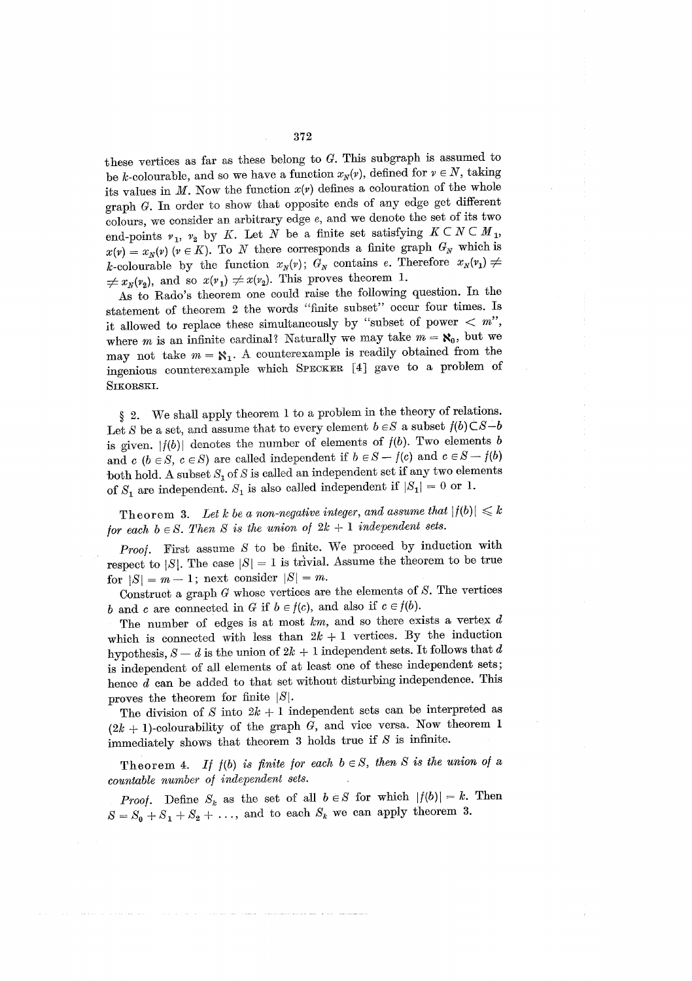these vertices as far as these belong to  $G$ . This subgraph is assumed to be k-colourable, and so we have a function  $x_N(v)$ , defined for  $v \in N$ , taking its values in  $M$ . Now the function  $x(y)$  defines a colouration of the whole graph G. In order to show that opposite ends of any edge get different colours, we consider an arbitrary edge  $e$ , and we denote the set of its two end-points  $v_1$ ,  $v_2$  by K. Let N be a finite set satisfying  $K \subset N \subset M_1$ ,  $x(v) = x_N(v)$  ( $v \in K$ ). To N there corresponds a finite graph  $G_N$  which is k-colourable by the function  $x_N(v)$ ;  $G_N$  contains e. Therefore  $x_N(v_1) \neq$  $\neq x_{\nu}(v_2)$ , and so  $x(v_1) \neq x(v_2)$ . This proves theorem 1.

As to Rado's theorem one could raise the following question. In the statement of theorem 2 the words "finite subset" occur four times. Is it allowed to replace these simultaneously by "subset of power  $\langle m''$ ", where *m* is an infinite cardinal? Naturally we may take  $m = \aleph_0$ , but we may not take  $m = \aleph_1$ . A counterexample is readily obtained from the ingenious counterexample which SPECKER [4] gave to a problem of SIKORSKI.

We shall apply theorem 1 to a problem in the theory of relations.  $\S 2.$ Let S be a set, and assume that to every element  $b\in S$  a subset  $f(b)\mathop{\dot\subset} S-b$ is given.  $|f(b)|$  denotes the number of elements of  $f(b)$ . Two elements b and  $c$  ( $b \in S$ ,  $c \in S$ ) are called independent if  $b \in S - f(c)$  and  $c \in S - f(b)$ both hold. A subset  $S_1$  of S is called an independent set if any two elements of  $S_1$  are independent.  $S_1$  is also called independent if  $|S_1| = 0$  or 1.

Theorem 3. Let k be a non-negative integer, and assume that  $|f(b)| \leq k$ for each  $b \in S$ . Then S is the union of  $2k + 1$  independent sets.

*Proof.* First assume  $S$  to be finite. We proceed by induction with respect to |S|. The case  $|S|=1$  is trivial. Assume the theorem to be true for  $|S| = m - 1$ ; next consider  $|S| = m$ .

Construct a graph  $G$  whose vertices are the elements of  $S$ . The vertices b and c are connected in G if  $b \in f(c)$ , and also if  $c \in f(b)$ .

The number of edges is at most  $km$ , and so there exists a vertex  $d$ which is connected with less than  $2k + 1$  vertices. By the induction hypothesis,  $S - d$  is the union of  $2k + 1$  independent sets. It follows that d is independent of all elements of at least one of these independent sets; hence  $d$  can be added to that set without disturbing independence. This proves the theorem for finite  $|S|$ .

The division of S into  $2k + 1$  independent sets can be interpreted as  $(2k + 1)$ -colourability of the graph G, and vice versa. Now theorem 1 immediately shows that theorem  $3$  holds true if  $S$  is infinite.

Theorem 4. If  $f(b)$  is finite for each  $b \in S$ , then S is the union of a countable number of independent sets.

*Proof.* Define  $S_k$  as the set of all  $b \in S$  for which  $|f(b)| = k$ . Then  $S = S_0 + S_1 + S_2 + \ldots$ , and to each  $S_k$  we can apply theorem 3.